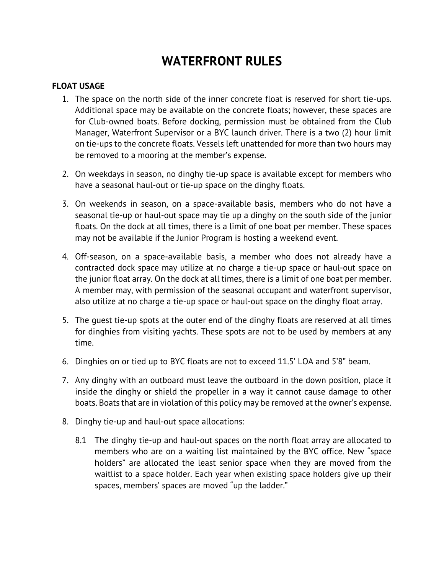# **WATERFRONT RULES**

### **FLOAT USAGE**

- 1. The space on the north side of the inner concrete float is reserved for short tie-ups. Additional space may be available on the concrete floats; however, these spaces are for Club-owned boats. Before docking, permission must be obtained from the Club Manager, Waterfront Supervisor or a BYC launch driver. There is a two (2) hour limit on tie-ups to the concrete floats. Vessels left unattended for more than two hours may be removed to a mooring at the member's expense.
- 2. On weekdays in season, no dinghy tie-up space is available except for members who have a seasonal haul-out or tie-up space on the dinghy floats.
- 3. On weekends in season, on a space-available basis, members who do not have a seasonal tie-up or haul-out space may tie up a dinghy on the south side of the junior floats. On the dock at all times, there is a limit of one boat per member. These spaces may not be available if the Junior Program is hosting a weekend event.
- 4. Off-season, on a space-available basis, a member who does not already have a contracted dock space may utilize at no charge a tie-up space or haul-out space on the junior float array. On the dock at all times, there is a limit of one boat per member. A member may, with permission of the seasonal occupant and waterfront supervisor, also utilize at no charge a tie-up space or haul-out space on the dinghy float array.
- 5. The guest tie-up spots at the outer end of the dinghy floats are reserved at all times for dinghies from visiting yachts. These spots are not to be used by members at any time.
- 6. Dinghies on or tied up to BYC floats are not to exceed 11.5' LOA and 5'8" beam.
- 7. Any dinghy with an outboard must leave the outboard in the down position, place it inside the dinghy or shield the propeller in a way it cannot cause damage to other boats. Boats that are in violation of this policy may be removed at the owner's expense.
- 8. Dinghy tie-up and haul-out space allocations:
	- 8.1 The dinghy tie-up and haul-out spaces on the north float array are allocated to members who are on a waiting list maintained by the BYC office. New "space holders" are allocated the least senior space when they are moved from the waitlist to a space holder. Each year when existing space holders give up their spaces, members' spaces are moved "up the ladder."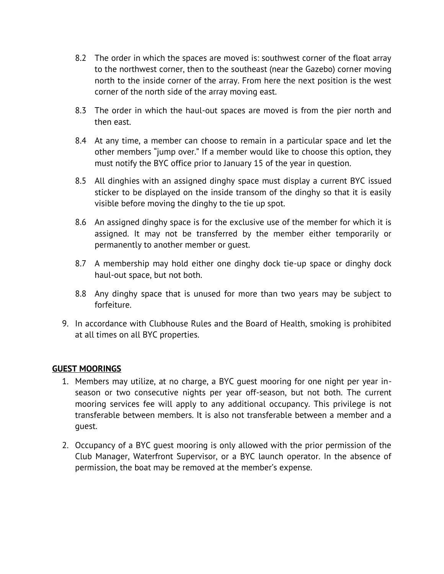- 8.2 The order in which the spaces are moved is: southwest corner of the float array to the northwest corner, then to the southeast (near the Gazebo) corner moving north to the inside corner of the array. From here the next position is the west corner of the north side of the array moving east.
- 8.3 The order in which the haul-out spaces are moved is from the pier north and then east.
- 8.4 At any time, a member can choose to remain in a particular space and let the other members "jump over." If a member would like to choose this option, they must notify the BYC office prior to January 15 of the year in question.
- 8.5 All dinghies with an assigned dinghy space must display a current BYC issued sticker to be displayed on the inside transom of the dinghy so that it is easily visible before moving the dinghy to the tie up spot.
- 8.6 An assigned dinghy space is for the exclusive use of the member for which it is assigned. It may not be transferred by the member either temporarily or permanently to another member or guest.
- 8.7 A membership may hold either one dinghy dock tie-up space or dinghy dock haul-out space, but not both.
- 8.8 Any dinghy space that is unused for more than two years may be subject to forfeiture.
- 9. In accordance with Clubhouse Rules and the Board of Health, smoking is prohibited at all times on all BYC properties.

## **GUEST MOORINGS**

- 1. Members may utilize, at no charge, a BYC guest mooring for one night per year inseason or two consecutive nights per year off-season, but not both. The current mooring services fee will apply to any additional occupancy. This privilege is not transferable between members. It is also not transferable between a member and a guest.
- 2. Occupancy of a BYC guest mooring is only allowed with the prior permission of the Club Manager, Waterfront Supervisor, or a BYC launch operator. In the absence of permission, the boat may be removed at the member's expense.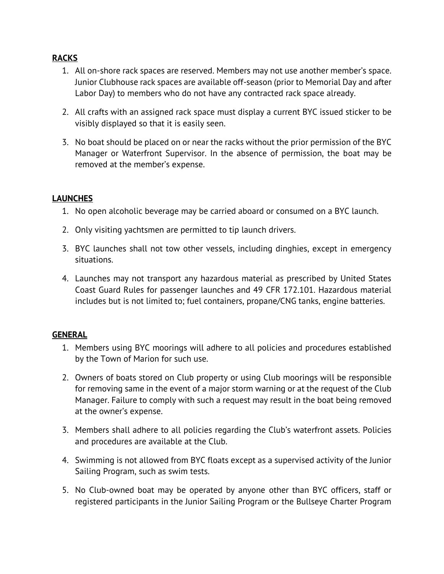# **RACKS**

- 1. All on-shore rack spaces are reserved. Members may not use another member's space. Junior Clubhouse rack spaces are available off-season (prior to Memorial Day and after Labor Day) to members who do not have any contracted rack space already.
- 2. All crafts with an assigned rack space must display a current BYC issued sticker to be visibly displayed so that it is easily seen.
- 3. No boat should be placed on or near the racks without the prior permission of the BYC Manager or Waterfront Supervisor. In the absence of permission, the boat may be removed at the member's expense.

## **LAUNCHES**

- 1. No open alcoholic beverage may be carried aboard or consumed on a BYC launch.
- 2. Only visiting yachtsmen are permitted to tip launch drivers.
- 3. BYC launches shall not tow other vessels, including dinghies, except in emergency situations.
- 4. Launches may not transport any hazardous material as prescribed by United States Coast Guard Rules for passenger launches and 49 CFR 172.101. Hazardous material includes but is not limited to; fuel containers, propane/CNG tanks, engine batteries.

### **GENERAL**

- 1. Members using BYC moorings will adhere to all policies and procedures established by the Town of Marion for such use.
- 2. Owners of boats stored on Club property or using Club moorings will be responsible for removing same in the event of a major storm warning or at the request of the Club Manager. Failure to comply with such a request may result in the boat being removed at the owner's expense.
- 3. Members shall adhere to all policies regarding the Club's waterfront assets. Policies and procedures are available at the Club.
- 4. Swimming is not allowed from BYC floats except as a supervised activity of the Junior Sailing Program, such as swim tests.
- 5. No Club-owned boat may be operated by anyone other than BYC officers, staff or registered participants in the Junior Sailing Program or the Bullseye Charter Program